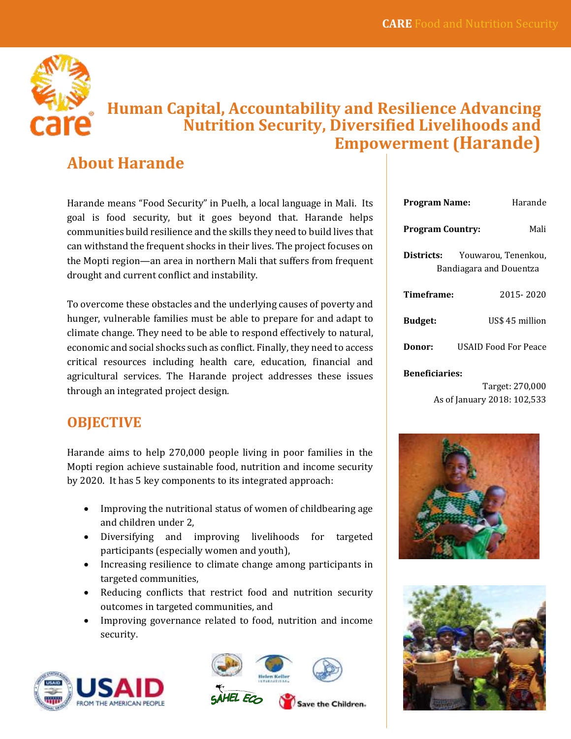

# **Human Capital, Accountability and Resilience Advancing Nutrition Security, Diversified Livelihoods and Empowerment (Harande)**

# **About Harande**

Harande means "Food Security" in Puelh, a local language in Mali. Its goal is food security, but it goes beyond that. Harande helps communities build resilience and the skills they need to build lives that can withstand the frequent shocks in their lives. The project focuses on the Mopti region—an area in northern Mali that suffers from frequent drought and current conflict and instability.

To overcome these obstacles and the underlying causes of poverty and hunger, vulnerable families must be able to prepare for and adapt to climate change. They need to be able to respond effectively to natural, economic and social shocks such as conflict. Finally, they need to access critical resources including health care, education, financial and agricultural services. The Harande project addresses these issues through an integrated project design.

## **OBJECTIVE**

Harande aims to help 270,000 people living in poor families in the Mopti region achieve sustainable food, nutrition and income security by 2020. It has 5 key components to its integrated approach:

- Improving the nutritional status of women of childbearing age and children under 2,
- Diversifying and improving livelihoods for targeted participants (especially women and youth),
- Increasing resilience to climate change among participants in targeted communities,
- Reducing conflicts that restrict food and nutrition security outcomes in targeted communities, and
- Improving governance related to food, nutrition and income security.





| <b>Program Name:</b>                                                | Harande              |  |
|---------------------------------------------------------------------|----------------------|--|
| Mali<br><b>Program Country:</b>                                     |                      |  |
| Districts:<br>Youwarou, Tenenkou,<br><b>Bandiagara and Douentza</b> |                      |  |
| Timeframe:                                                          | 2015-2020            |  |
| <b>Budget:</b>                                                      | US\$ 45 million      |  |
| Donor:                                                              | USAID Food For Peace |  |
| <b>Beneficiaries:</b><br>Targoti 270 000                            |                      |  |

Target: 270,000 As of January 2018: 102,533